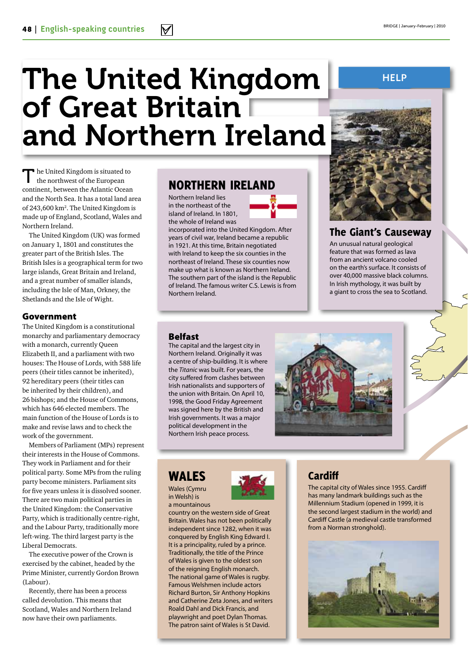# The United Kingdom of Great Britain I and Northern Ireland

 $\blacksquare$  he United Kingdom is situated to the northwest of the European continent, between the Atlantic Ocean and the North Sea. It has a total land area of 243,600 km<sup>2</sup>. The United Kingdom is made up of England, Scotland, Wales and Northern Ireland.

The United Kingdom (UK) was formed on January 1, 1801 and constitutes the greater part of the British Isles. The British Isles is a geographical term for two large islands, Great Britain and Ireland, and a great number of smaller islands, including the Isle of Man, Orkney, the Shetlands and the Isle of Wight.

#### Government

The United Kingdom is a constitutional monarchy and parliamentary democracy with a monarch, currently Queen Elizabeth II, and a parliament with two houses: The House of Lords, with 588 life peers (their titles cannot be inherited), 92 hereditary peers (their titles can be inherited by their children), and 26 bishops; and the House of Commons, which has 646 elected members. The main function of the House of Lords is to make and revise laws and to check the work of the government.

Members of Parliament (MPs) represent their interests in the House of Commons. They work in Parliament and for their political party. Some MPs from the ruling party become ministers. Parliament sits for five years unless it is dissolved sooner. There are two main political parties in the United Kingdom: the Conservative Party, which is traditionally centre-right, and the Labour Party, traditionally more left-wing. The third largest party is the Liberal Democrats.

The executive power of the Crown is exercised by the cabinet, headed by the Prime Minister, currently Gordon Brown (Labour).

Recently, there has been a process called devolution. This means that Scotland, Wales and Northern Ireland now have their own parliaments.

# Northern Ireland

Northern Ireland lies in the northeast of the island of Ireland. In 1801, the whole of Ireland was

incorporated into the United Kingdom. After years of civil war, Ireland became a republic in 1921. At this time, Britain negotiated with Ireland to keep the six counties in the northeast of Ireland. These six counties now make up what is known as Northern Ireland. The southern part of the island is the Republic of Ireland. The famous writer C.S. Lewis is from



## The Giant's Causeway

An unusual natural geological feature that was formed as lava from an ancient volcano cooled on the earth's surface. It consists of over 40,000 massive black columns. In Irish mythology, it was built by a giant to cross the sea to Scotland.

#### Belfast

Northern Ireland.

The capital and the largest city in Northern Ireland. Originally it was a centre of ship-building. It is where the *Titanic* was built. For years, the city suffered from clashes between Irish nationalists and supporters of the union with Britain. On April 10, 1998, the Good Friday Agreement was signed here by the British and Irish governments. It was a major political development in the Northern Irish peace process.



#### Wales Wales (Cymru

in Welsh) is a mountainous



country on the western side of Great Britain. Wales has not been politically independent since 1282, when it was conquered by English King Edward I. It is a principality, ruled by a prince. Traditionally, the title of the Prince of Wales is given to the oldest son of the reigning English monarch. The national game of Wales is rugby. Famous Welshmen include actors Richard Burton, Sir Anthony Hopkins and Catherine Zeta Jones, and writers Roald Dahl and Dick Francis, and playwright and poet Dylan Thomas. The patron saint of Wales is St David.

# **Cardiff**

The capital city of Wales since 1955. Cardiff has many landmark buildings such as the Millennium Stadium (opened in 1999, it is the second largest stadium in the world) and Cardiff Castle (a medieval castle transformed from a Norman stronghold).



**Help**